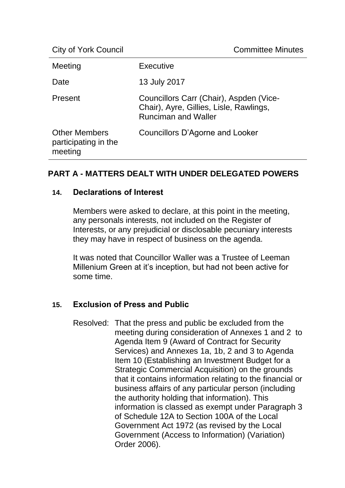| Meeting                                                 | Executive                                                                                                        |
|---------------------------------------------------------|------------------------------------------------------------------------------------------------------------------|
| Date                                                    | 13 July 2017                                                                                                     |
| Present                                                 | Councillors Carr (Chair), Aspden (Vice-<br>Chair), Ayre, Gillies, Lisle, Rawlings,<br><b>Runciman and Waller</b> |
| <b>Other Members</b><br>participating in the<br>meeting | Councillors D'Agorne and Looker                                                                                  |

# **PART A - MATTERS DEALT WITH UNDER DELEGATED POWERS**

## **14. Declarations of Interest**

Members were asked to declare, at this point in the meeting, any personals interests, not included on the Register of Interests, or any prejudicial or disclosable pecuniary interests they may have in respect of business on the agenda.

It was noted that Councillor Waller was a Trustee of Leeman Millenium Green at it's inception, but had not been active for some time.

# **15. Exclusion of Press and Public**

Resolved: That the press and public be excluded from the meeting during consideration of Annexes 1 and 2 to Agenda Item 9 (Award of Contract for Security Services) and Annexes 1a, 1b, 2 and 3 to Agenda Item 10 (Establishing an Investment Budget for a Strategic Commercial Acquisition) on the grounds that it contains information relating to the financial or business affairs of any particular person (including the authority holding that information). This information is classed as exempt under Paragraph 3 of Schedule 12A to Section 100A of the Local Government Act 1972 (as revised by the Local Government (Access to Information) (Variation) Order 2006).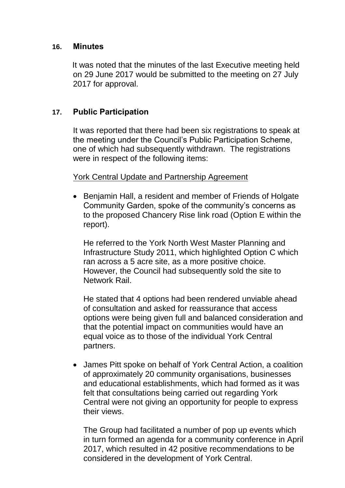### **16. Minutes**

It was noted that the minutes of the last Executive meeting held on 29 June 2017 would be submitted to the meeting on 27 July 2017 for approval.

## **17. Public Participation**

It was reported that there had been six registrations to speak at the meeting under the Council's Public Participation Scheme, one of which had subsequently withdrawn. The registrations were in respect of the following items:

## York Central Update and Partnership Agreement

• Benjamin Hall, a resident and member of Friends of Holgate Community Garden, spoke of the community's concerns as to the proposed Chancery Rise link road (Option E within the report).

He referred to the York North West Master Planning and Infrastructure Study 2011, which highlighted Option C which ran across a 5 acre site, as a more positive choice. However, the Council had subsequently sold the site to Network Rail.

He stated that 4 options had been rendered unviable ahead of consultation and asked for reassurance that access options were being given full and balanced consideration and that the potential impact on communities would have an equal voice as to those of the individual York Central partners.

• James Pitt spoke on behalf of York Central Action, a coalition of approximately 20 community organisations, businesses and educational establishments, which had formed as it was felt that consultations being carried out regarding York Central were not giving an opportunity for people to express their views.

The Group had facilitated a number of pop up events which in turn formed an agenda for a community conference in April 2017, which resulted in 42 positive recommendations to be considered in the development of York Central.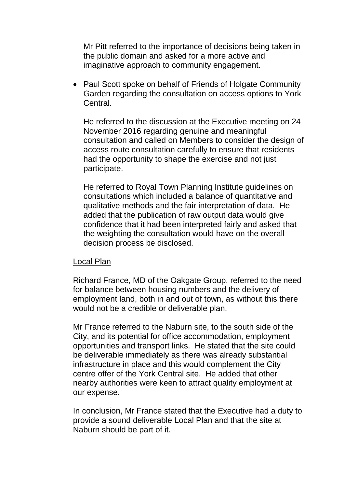Mr Pitt referred to the importance of decisions being taken in the public domain and asked for a more active and imaginative approach to community engagement.

• Paul Scott spoke on behalf of Friends of Holgate Community Garden regarding the consultation on access options to York **Central** 

He referred to the discussion at the Executive meeting on 24 November 2016 regarding genuine and meaningful consultation and called on Members to consider the design of access route consultation carefully to ensure that residents had the opportunity to shape the exercise and not just participate.

He referred to Royal Town Planning Institute guidelines on consultations which included a balance of quantitative and qualitative methods and the fair interpretation of data. He added that the publication of raw output data would give confidence that it had been interpreted fairly and asked that the weighting the consultation would have on the overall decision process be disclosed.

## Local Plan

Richard France, MD of the Oakgate Group, referred to the need for balance between housing numbers and the delivery of employment land, both in and out of town, as without this there would not be a credible or deliverable plan.

Mr France referred to the Naburn site, to the south side of the City, and its potential for office accommodation, employment opportunities and transport links. He stated that the site could be deliverable immediately as there was already substantial infrastructure in place and this would complement the City centre offer of the York Central site. He added that other nearby authorities were keen to attract quality employment at our expense.

In conclusion, Mr France stated that the Executive had a duty to provide a sound deliverable Local Plan and that the site at Naburn should be part of it.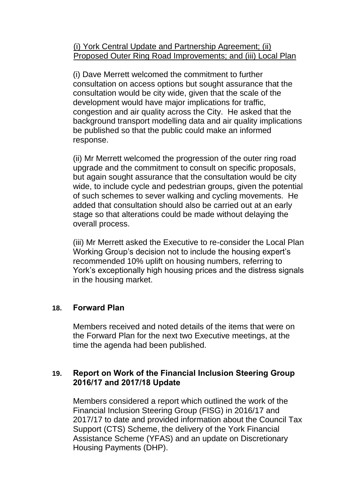(i) York Central Update and Partnership Agreement; (ii) Proposed Outer Ring Road Improvements; and (iii) Local Plan

(i) Dave Merrett welcomed the commitment to further consultation on access options but sought assurance that the consultation would be city wide, given that the scale of the development would have major implications for traffic, congestion and air quality across the City. He asked that the background transport modelling data and air quality implications be published so that the public could make an informed response.

(ii) Mr Merrett welcomed the progression of the outer ring road upgrade and the commitment to consult on specific proposals, but again sought assurance that the consultation would be city wide, to include cycle and pedestrian groups, given the potential of such schemes to sever walking and cycling movements. He added that consultation should also be carried out at an early stage so that alterations could be made without delaying the overall process.

(iii) Mr Merrett asked the Executive to re-consider the Local Plan Working Group's decision not to include the housing expert's recommended 10% uplift on housing numbers, referring to York's exceptionally high housing prices and the distress signals in the housing market.

# **18. Forward Plan**

Members received and noted details of the items that were on the Forward Plan for the next two Executive meetings, at the time the agenda had been published.

# **19. Report on Work of the Financial Inclusion Steering Group 2016/17 and 2017/18 Update**

Members considered a report which outlined the work of the Financial Inclusion Steering Group (FISG) in 2016/17 and 2017/17 to date and provided information about the Council Tax Support (CTS) Scheme, the delivery of the York Financial Assistance Scheme (YFAS) and an update on Discretionary Housing Payments (DHP).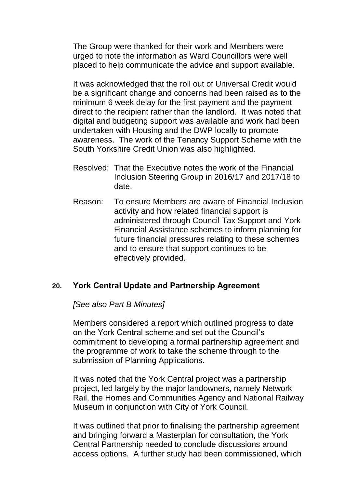The Group were thanked for their work and Members were urged to note the information as Ward Councillors were well placed to help communicate the advice and support available.

It was acknowledged that the roll out of Universal Credit would be a significant change and concerns had been raised as to the minimum 6 week delay for the first payment and the payment direct to the recipient rather than the landlord. It was noted that digital and budgeting support was available and work had been undertaken with Housing and the DWP locally to promote awareness. The work of the Tenancy Support Scheme with the South Yorkshire Credit Union was also highlighted.

- Resolved: That the Executive notes the work of the Financial Inclusion Steering Group in 2016/17 and 2017/18 to date.
- Reason: To ensure Members are aware of Financial Inclusion activity and how related financial support is administered through Council Tax Support and York Financial Assistance schemes to inform planning for future financial pressures relating to these schemes and to ensure that support continues to be effectively provided.

# **20. York Central Update and Partnership Agreement**

*[See also Part B Minutes]*

Members considered a report which outlined progress to date on the York Central scheme and set out the Council's commitment to developing a formal partnership agreement and the programme of work to take the scheme through to the submission of Planning Applications.

It was noted that the York Central project was a partnership project, led largely by the major landowners, namely Network Rail, the Homes and Communities Agency and National Railway Museum in conjunction with City of York Council.

It was outlined that prior to finalising the partnership agreement and bringing forward a Masterplan for consultation, the York Central Partnership needed to conclude discussions around access options. A further study had been commissioned, which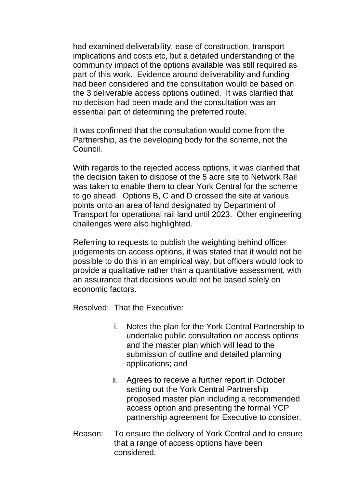had examined deliverability, ease of construction, transport implications and costs etc, but a detailed understanding of the community impact of the options available was still required as part of this work. Evidence around deliverability and funding had been considered and the consultation would be based on the 3 deliverable access options outlined. It was clarified that no decision had been made and the consultation was an essential part of determining the preferred route.

It was confirmed that the consultation would come from the Partnership, as the developing body for the scheme, not the Council.

With regards to the rejected access options, it was clarified that the decision taken to dispose of the 5 acre site to Network Rail was taken to enable them to clear York Central for the scheme to go ahead. Options B, C and D crossed the site at various points onto an area of land designated by Department of Transport for operational rail land until 2023. Other engineering challenges were also highlighted.

Referring to requests to publish the weighting behind officer judgements on access options, it was stated that it would not be possible to do this in an empirical way, but officers would look to provide a qualitative rather than a quantitative assessment, with an assurance that decisions would not be based solely on economic factors.

Resolved: That the Executive:

- i. Notes the plan for the York Central Partnership to undertake public consultation on access options and the master plan which will lead to the submission of outline and detailed planning applications; and
- ii. Agrees to receive a further report in October setting out the York Central Partnership proposed master plan including a recommended access option and presenting the formal YCP partnership agreement for Executive to consider.
- Reason: To ensure the delivery of York Central and to ensure that a range of access options have been considered.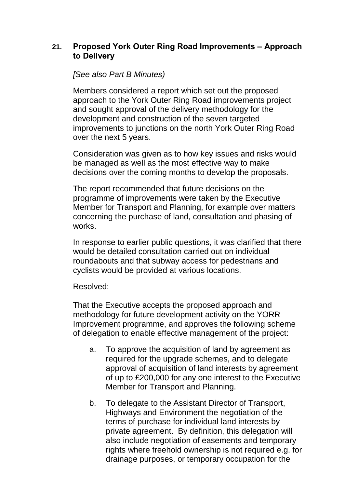# **21. Proposed York Outer Ring Road Improvements – Approach to Delivery**

## *[See also Part B Minutes)*

Members considered a report which set out the proposed approach to the York Outer Ring Road improvements project and sought approval of the delivery methodology for the development and construction of the seven targeted improvements to junctions on the north York Outer Ring Road over the next 5 years.

Consideration was given as to how key issues and risks would be managed as well as the most effective way to make decisions over the coming months to develop the proposals.

The report recommended that future decisions on the programme of improvements were taken by the Executive Member for Transport and Planning, for example over matters concerning the purchase of land, consultation and phasing of works.

In response to earlier public questions, it was clarified that there would be detailed consultation carried out on individual roundabouts and that subway access for pedestrians and cyclists would be provided at various locations.

#### Resolved:

That the Executive accepts the proposed approach and methodology for future development activity on the YORR Improvement programme, and approves the following scheme of delegation to enable effective management of the project:

- a. To approve the acquisition of land by agreement as required for the upgrade schemes, and to delegate approval of acquisition of land interests by agreement of up to £200,000 for any one interest to the Executive Member for Transport and Planning.
- b. To delegate to the Assistant Director of Transport, Highways and Environment the negotiation of the terms of purchase for individual land interests by private agreement. By definition, this delegation will also include negotiation of easements and temporary rights where freehold ownership is not required e.g. for drainage purposes, or temporary occupation for the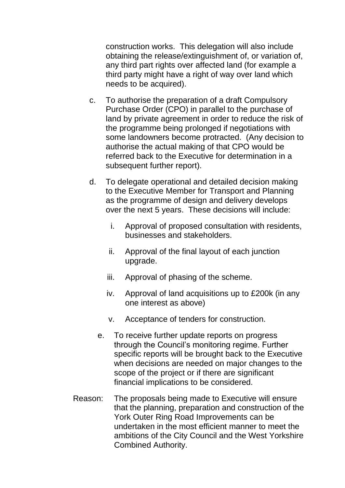construction works. This delegation will also include obtaining the release/extinguishment of, or variation of, any third part rights over affected land (for example a third party might have a right of way over land which needs to be acquired).

- c. To authorise the preparation of a draft Compulsory Purchase Order (CPO) in parallel to the purchase of land by private agreement in order to reduce the risk of the programme being prolonged if negotiations with some landowners become protracted. (Any decision to authorise the actual making of that CPO would be referred back to the Executive for determination in a subsequent further report).
- d. To delegate operational and detailed decision making to the Executive Member for Transport and Planning as the programme of design and delivery develops over the next 5 years. These decisions will include:
	- i. Approval of proposed consultation with residents, businesses and stakeholders.
	- ii. Approval of the final layout of each junction upgrade.
	- iii. Approval of phasing of the scheme.
	- iv. Approval of land acquisitions up to £200k (in any one interest as above)
	- v. Acceptance of tenders for construction.
	- e. To receive further update reports on progress through the Council's monitoring regime. Further specific reports will be brought back to the Executive when decisions are needed on major changes to the scope of the project or if there are significant financial implications to be considered.
- Reason: The proposals being made to Executive will ensure that the planning, preparation and construction of the York Outer Ring Road Improvements can be undertaken in the most efficient manner to meet the ambitions of the City Council and the West Yorkshire Combined Authority.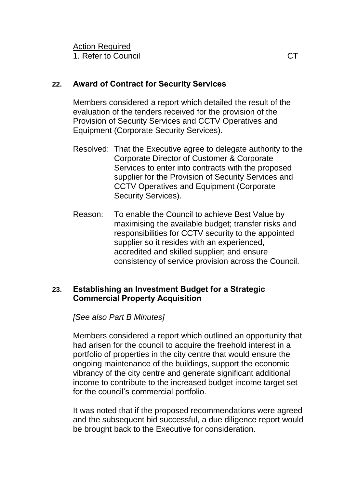1. Refer to Council and the control of the control of the control of the control of the control of the control of the control of the control of the control of the control of the control of the control of the control of the

# **22. Award of Contract for Security Services**

Members considered a report which detailed the result of the evaluation of the tenders received for the provision of the Provision of Security Services and CCTV Operatives and Equipment (Corporate Security Services).

- Resolved: That the Executive agree to delegate authority to the Corporate Director of Customer & Corporate Services to enter into contracts with the proposed supplier for the Provision of Security Services and CCTV Operatives and Equipment (Corporate Security Services).
- Reason: To enable the Council to achieve Best Value by maximising the available budget; transfer risks and responsibilities for CCTV security to the appointed supplier so it resides with an experienced, accredited and skilled supplier; and ensure consistency of service provision across the Council.

# **23. Establishing an Investment Budget for a Strategic Commercial Property Acquisition**

*[See also Part B Minutes]*

Members considered a report which outlined an opportunity that had arisen for the council to acquire the freehold interest in a portfolio of properties in the city centre that would ensure the ongoing maintenance of the buildings, support the economic vibrancy of the city centre and generate significant additional income to contribute to the increased budget income target set for the council's commercial portfolio.

It was noted that if the proposed recommendations were agreed and the subsequent bid successful, a due diligence report would be brought back to the Executive for consideration.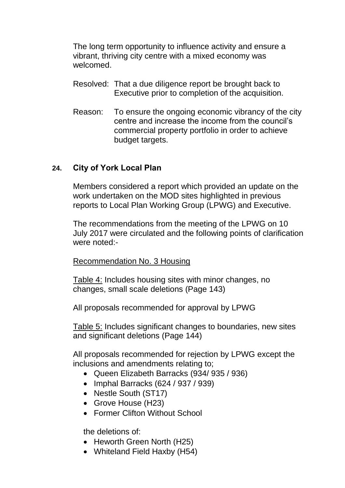The long term opportunity to influence activity and ensure a vibrant, thriving city centre with a mixed economy was welcomed.

- Resolved: That a due diligence report be brought back to Executive prior to completion of the acquisition.
- Reason: To ensure the ongoing economic vibrancy of the city centre and increase the income from the council's commercial property portfolio in order to achieve budget targets.

# **24. City of York Local Plan**

Members considered a report which provided an update on the work undertaken on the MOD sites highlighted in previous reports to Local Plan Working Group (LPWG) and Executive.

The recommendations from the meeting of the LPWG on 10 July 2017 were circulated and the following points of clarification were noted:-

## Recommendation No. 3 Housing

Table 4: Includes housing sites with minor changes, no changes, small scale deletions (Page 143)

All proposals recommended for approval by LPWG

Table 5: Includes significant changes to boundaries, new sites and significant deletions (Page 144)

All proposals recommended for rejection by LPWG except the inclusions and amendments relating to;

- Queen Elizabeth Barracks (934/ 935 / 936)
- $\bullet$  Imphal Barracks (624 / 937 / 939)
- Nestle South (ST17)
- Grove House (H23)
- Former Clifton Without School

the deletions of:

- Heworth Green North (H25)
- Whiteland Field Haxby (H54)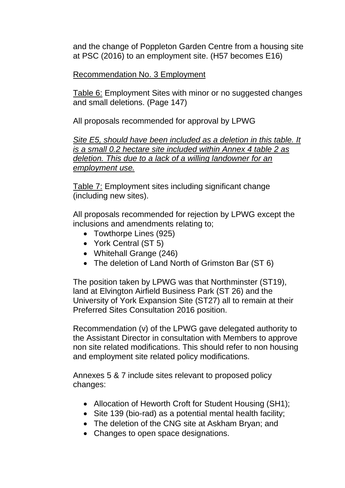and the change of Poppleton Garden Centre from a housing site at PSC (2016) to an employment site. (H57 becomes E16)

# Recommendation No. 3 Employment

Table 6: Employment Sites with minor or no suggested changes and small deletions. (Page 147)

All proposals recommended for approval by LPWG

*Site E5, should have been included as a deletion in this table. It is a small 0.2 hectare site included within Annex 4 table 2 as deletion. This due to a lack of a willing landowner for an employment use.*

Table 7: Employment sites including significant change (including new sites).

All proposals recommended for rejection by LPWG except the inclusions and amendments relating to;

- Towthorpe Lines (925)
- York Central (ST 5)
- Whitehall Grange (246)
- The deletion of Land North of Grimston Bar (ST 6)

The position taken by LPWG was that Northminster (ST19), land at Elvington Airfield Business Park (ST 26) and the University of York Expansion Site (ST27) all to remain at their Preferred Sites Consultation 2016 position.

Recommendation (v) of the LPWG gave delegated authority to the Assistant Director in consultation with Members to approve non site related modifications. This should refer to non housing and employment site related policy modifications.

Annexes 5 & 7 include sites relevant to proposed policy changes:

- Allocation of Heworth Croft for Student Housing (SH1);
- Site 139 (bio-rad) as a potential mental health facility;
- The deletion of the CNG site at Askham Bryan; and
- Changes to open space designations.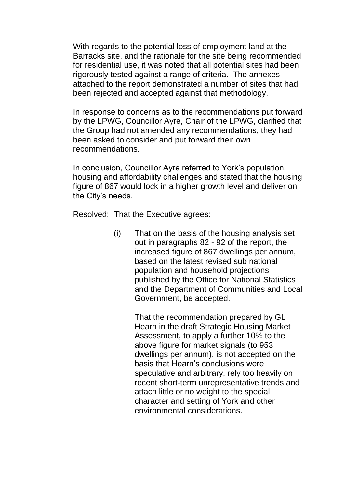With regards to the potential loss of employment land at the Barracks site, and the rationale for the site being recommended for residential use, it was noted that all potential sites had been rigorously tested against a range of criteria. The annexes attached to the report demonstrated a number of sites that had been rejected and accepted against that methodology.

In response to concerns as to the recommendations put forward by the LPWG, Councillor Ayre, Chair of the LPWG, clarified that the Group had not amended any recommendations, they had been asked to consider and put forward their own recommendations.

In conclusion, Councillor Ayre referred to York's population, housing and affordability challenges and stated that the housing figure of 867 would lock in a higher growth level and deliver on the City's needs.

Resolved: That the Executive agrees:

(i) That on the basis of the housing analysis set out in paragraphs 82 - 92 of the report, the increased figure of 867 dwellings per annum, based on the latest revised sub national population and household projections published by the Office for National Statistics and the Department of Communities and Local Government, be accepted.

> That the recommendation prepared by GL Hearn in the draft Strategic Housing Market Assessment, to apply a further 10% to the above figure for market signals (to 953 dwellings per annum), is not accepted on the basis that Hearn's conclusions were speculative and arbitrary, rely too heavily on recent short-term unrepresentative trends and attach little or no weight to the special character and setting of York and other environmental considerations.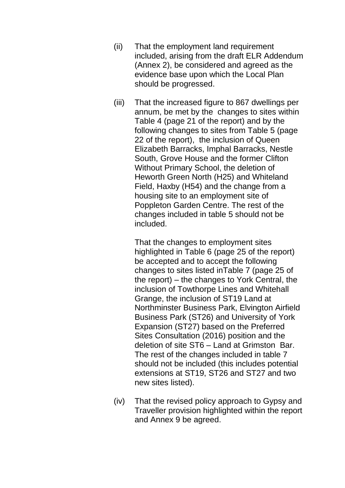- (ii) That the employment land requirement included, arising from the draft ELR Addendum (Annex 2), be considered and agreed as the evidence base upon which the Local Plan should be progressed.
- (iii) That the increased figure to 867 dwellings per annum, be met by the changes to sites within Table 4 (page 21 of the report) and by the following changes to sites from Table 5 (page 22 of the report), the inclusion of Queen Elizabeth Barracks, Imphal Barracks, Nestle South, Grove House and the former Clifton Without Primary School, the deletion of Heworth Green North (H25) and Whiteland Field, Haxby (H54) and the change from a housing site to an employment site of Poppleton Garden Centre. The rest of the changes included in table 5 should not be included.

That the changes to employment sites highlighted in Table 6 (page 25 of the report) be accepted and to accept the following changes to sites listed inTable 7 (page 25 of the report) – the changes to York Central, the inclusion of Towthorpe Lines and Whitehall Grange, the inclusion of ST19 Land at Northminster Business Park, Elvington Airfield Business Park (ST26) and University of York Expansion (ST27) based on the Preferred Sites Consultation (2016) position and the deletion of site ST6 – Land at Grimston Bar. The rest of the changes included in table 7 should not be included (this includes potential extensions at ST19, ST26 and ST27 and two new sites listed).

(iv) That the revised policy approach to Gypsy and Traveller provision highlighted within the report and Annex 9 be agreed.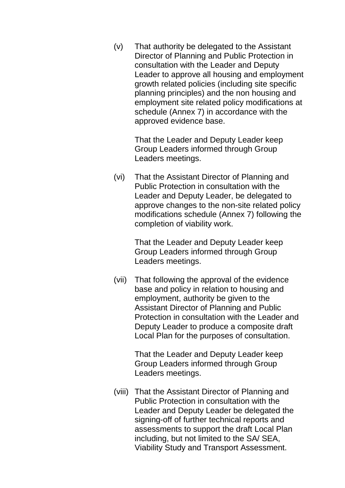(v) That authority be delegated to the Assistant Director of Planning and Public Protection in consultation with the Leader and Deputy Leader to approve all housing and employment growth related policies (including site specific planning principles) and the non housing and employment site related policy modifications at schedule (Annex 7) in accordance with the approved evidence base.

> That the Leader and Deputy Leader keep Group Leaders informed through Group Leaders meetings.

(vi) That the Assistant Director of Planning and Public Protection in consultation with the Leader and Deputy Leader, be delegated to approve changes to the non-site related policy modifications schedule (Annex 7) following the completion of viability work.

> That the Leader and Deputy Leader keep Group Leaders informed through Group Leaders meetings.

(vii) That following the approval of the evidence base and policy in relation to housing and employment, authority be given to the Assistant Director of Planning and Public Protection in consultation with the Leader and Deputy Leader to produce a composite draft Local Plan for the purposes of consultation.

> That the Leader and Deputy Leader keep Group Leaders informed through Group Leaders meetings.

(viii) That the Assistant Director of Planning and Public Protection in consultation with the Leader and Deputy Leader be delegated the signing-off of further technical reports and assessments to support the draft Local Plan including, but not limited to the SA/ SEA, Viability Study and Transport Assessment.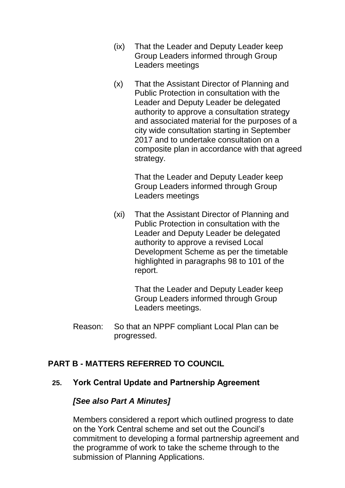- (ix) That the Leader and Deputy Leader keep Group Leaders informed through Group Leaders meetings
- (x) That the Assistant Director of Planning and Public Protection in consultation with the Leader and Deputy Leader be delegated authority to approve a consultation strategy and associated material for the purposes of a city wide consultation starting in September 2017 and to undertake consultation on a composite plan in accordance with that agreed strategy.

That the Leader and Deputy Leader keep Group Leaders informed through Group Leaders meetings

(xi) That the Assistant Director of Planning and Public Protection in consultation with the Leader and Deputy Leader be delegated authority to approve a revised Local Development Scheme as per the timetable highlighted in paragraphs 98 to 101 of the report.

> That the Leader and Deputy Leader keep Group Leaders informed through Group Leaders meetings.

Reason: So that an NPPF compliant Local Plan can be progressed.

# **PART B - MATTERS REFERRED TO COUNCIL**

## **25. York Central Update and Partnership Agreement**

#### *[See also Part A Minutes]*

Members considered a report which outlined progress to date on the York Central scheme and set out the Council's commitment to developing a formal partnership agreement and the programme of work to take the scheme through to the submission of Planning Applications.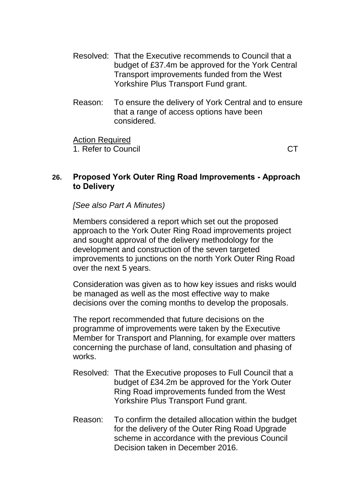- Resolved: That the Executive recommends to Council that a budget of £37.4m be approved for the York Central Transport improvements funded from the West Yorkshire Plus Transport Fund grant.
- Reason: To ensure the delivery of York Central and to ensure that a range of access options have been considered.

Action Required 1. Refer to Council and the contract of the contract of the contract of the contract of the contract of the contract of the contract of the contract of the contract of the contract of the contract of the contract of the co

# **26. Proposed York Outer Ring Road Improvements - Approach to Delivery**

*[See also Part A Minutes)*

Members considered a report which set out the proposed approach to the York Outer Ring Road improvements project and sought approval of the delivery methodology for the development and construction of the seven targeted improvements to junctions on the north York Outer Ring Road over the next 5 years.

Consideration was given as to how key issues and risks would be managed as well as the most effective way to make decisions over the coming months to develop the proposals.

The report recommended that future decisions on the programme of improvements were taken by the Executive Member for Transport and Planning, for example over matters concerning the purchase of land, consultation and phasing of works.

- Resolved: That the Executive proposes to Full Council that a budget of £34.2m be approved for the York Outer Ring Road improvements funded from the West Yorkshire Plus Transport Fund grant.
- Reason: To confirm the detailed allocation within the budget for the delivery of the Outer Ring Road Upgrade scheme in accordance with the previous Council Decision taken in December 2016.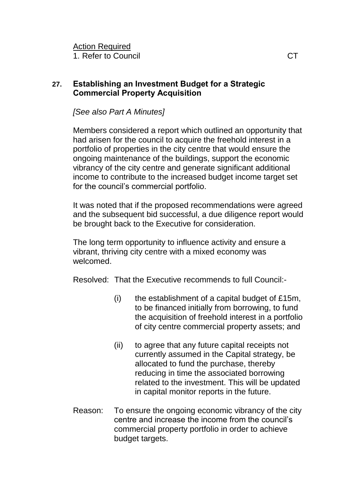Action Required 1. Refer to Council and the control of the control of the control of the control of the control of the control of the control of the control of the control of the control of the control of the control of the control of the

# **27. Establishing an Investment Budget for a Strategic Commercial Property Acquisition**

*[See also Part A Minutes]*

Members considered a report which outlined an opportunity that had arisen for the council to acquire the freehold interest in a portfolio of properties in the city centre that would ensure the ongoing maintenance of the buildings, support the economic vibrancy of the city centre and generate significant additional income to contribute to the increased budget income target set for the council's commercial portfolio.

It was noted that if the proposed recommendations were agreed and the subsequent bid successful, a due diligence report would be brought back to the Executive for consideration.

The long term opportunity to influence activity and ensure a vibrant, thriving city centre with a mixed economy was welcomed.

Resolved: That the Executive recommends to full Council:-

- (i) the establishment of a capital budget of  $£15m$ , to be financed initially from borrowing, to fund the acquisition of freehold interest in a portfolio of city centre commercial property assets; and
- (ii) to agree that any future capital receipts not currently assumed in the Capital strategy, be allocated to fund the purchase, thereby reducing in time the associated borrowing related to the investment. This will be updated in capital monitor reports in the future.
- Reason: To ensure the ongoing economic vibrancy of the city centre and increase the income from the council's commercial property portfolio in order to achieve budget targets.